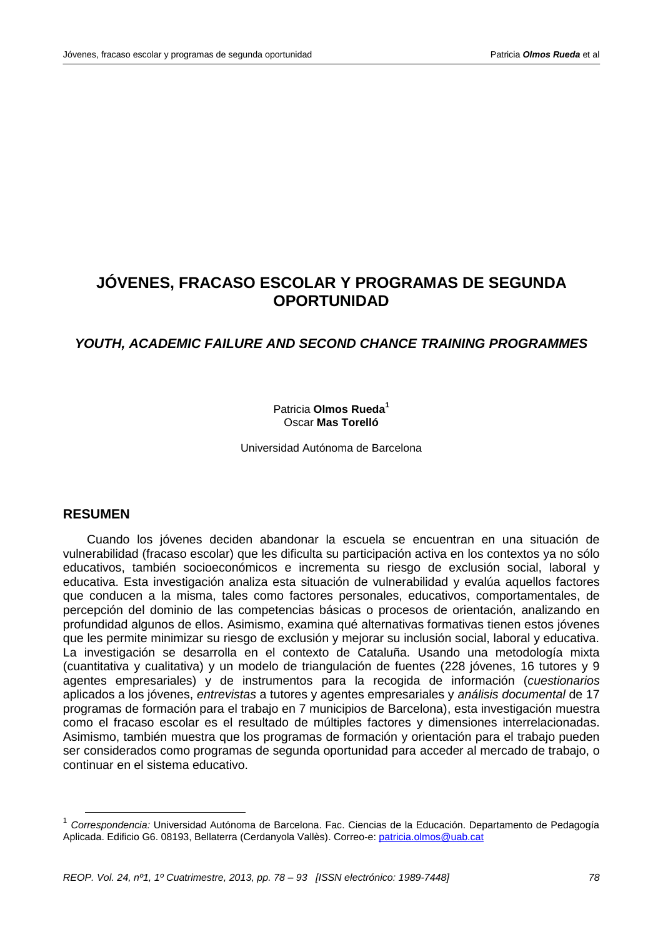# **JÓVENES, FRACASO ESCOLAR Y PROGRAMAS DE SEGUNDA OPORTUNIDAD**

## *YOUTH, ACADEMIC FAILURE AND SECOND CHANCE TRAINING PROGRAMMES*

Patricia **Olmos Rueda<sup>1</sup>** Oscar **Mas Torelló**

Universidad Autónoma de Barcelona

### **RESUMEN**

-

Cuando los jóvenes deciden abandonar la escuela se encuentran en una situación de vulnerabilidad (fracaso escolar) que les dificulta su participación activa en los contextos ya no sólo educativos, también socioeconómicos e incrementa su riesgo de exclusión social, laboral y educativa. Esta investigación analiza esta situación de vulnerabilidad y evalúa aquellos factores que conducen a la misma, tales como factores personales, educativos, comportamentales, de percepción del dominio de las competencias básicas o procesos de orientación, analizando en profundidad algunos de ellos. Asimismo, examina qué alternativas formativas tienen estos jóvenes que les permite minimizar su riesgo de exclusión y mejorar su inclusión social, laboral y educativa. La investigación se desarrolla en el contexto de Cataluña. Usando una metodología mixta (cuantitativa y cualitativa) y un modelo de triangulación de fuentes (228 jóvenes, 16 tutores y 9 agentes empresariales) y de instrumentos para la recogida de información (*cuestionarios* aplicados a los jóvenes, *entrevistas* a tutores y agentes empresariales y *análisis documental* de 17 programas de formación para el trabajo en 7 municipios de Barcelona), esta investigación muestra como el fracaso escolar es el resultado de múltiples factores y dimensiones interrelacionadas. Asimismo, también muestra que los programas de formación y orientación para el trabajo pueden ser considerados como programas de segunda oportunidad para acceder al mercado de trabajo, o continuar en el sistema educativo.

<sup>1</sup> *Correspondencia:* Universidad Autónoma de Barcelona. Fac. Ciencias de la Educación. Departamento de Pedagogía Aplicada. Edificio G6. 08193, Bellaterra (Cerdanyola Vallès). Correo-e: [patricia.olmos@uab.cat](mailto:patricia.olmos@uab.cat)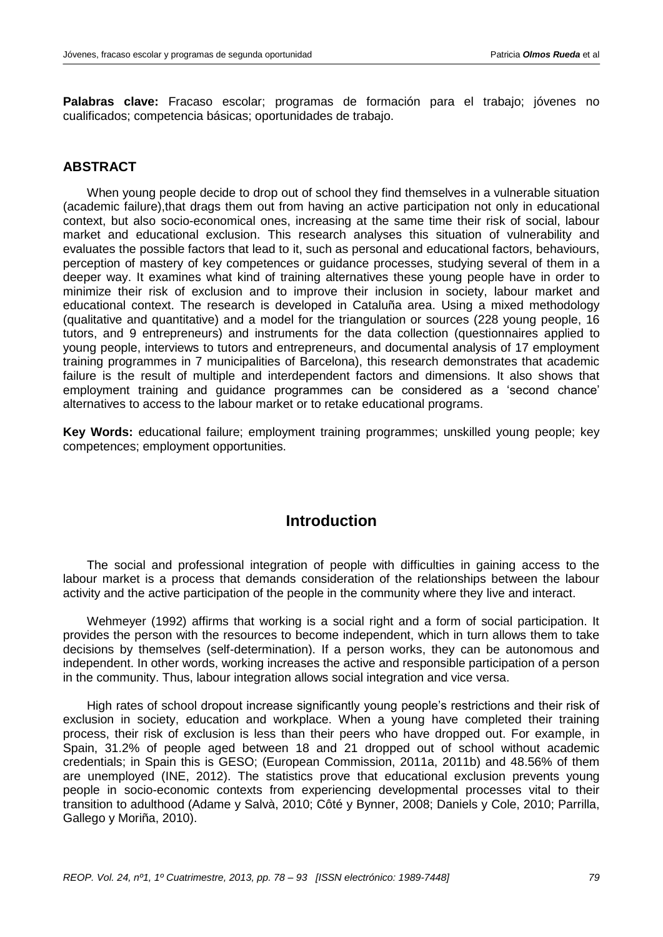**Palabras clave:** Fracaso escolar; programas de formación para el trabajo; jóvenes no cualificados; competencia básicas; oportunidades de trabajo.

## **ABSTRACT**

When young people decide to drop out of school they find themselves in a vulnerable situation (academic failure),that drags them out from having an active participation not only in educational context, but also socio-economical ones, increasing at the same time their risk of social, labour market and educational exclusion. This research analyses this situation of vulnerability and evaluates the possible factors that lead to it, such as personal and educational factors, behaviours, perception of mastery of key competences or guidance processes, studying several of them in a deeper way. It examines what kind of training alternatives these young people have in order to minimize their risk of exclusion and to improve their inclusion in society, labour market and educational context. The research is developed in Cataluña area. Using a mixed methodology (qualitative and quantitative) and a model for the triangulation or sources (228 young people, 16 tutors, and 9 entrepreneurs) and instruments for the data collection (questionnaires applied to young people, interviews to tutors and entrepreneurs, and documental analysis of 17 employment training programmes in 7 municipalities of Barcelona), this research demonstrates that academic failure is the result of multiple and interdependent factors and dimensions. It also shows that employment training and guidance programmes can be considered as a 'second chance' alternatives to access to the labour market or to retake educational programs.

**Key Words:** educational failure; employment training programmes; unskilled young people; key competences; employment opportunities.

## **Introduction**

The social and professional integration of people with difficulties in gaining access to the labour market is a process that demands consideration of the relationships between the labour activity and the active participation of the people in the community where they live and interact.

Wehmeyer (1992) affirms that working is a social right and a form of social participation. It provides the person with the resources to become independent, which in turn allows them to take decisions by themselves (self-determination). If a person works, they can be autonomous and independent. In other words, working increases the active and responsible participation of a person in the community. Thus, labour integration allows social integration and vice versa.

High rates of school dropout increase significantly young people's restrictions and their risk of exclusion in society, education and workplace. When a young have completed their training process, their risk of exclusion is less than their peers who have dropped out. For example, in Spain, 31.2% of people aged between 18 and 21 dropped out of school without academic credentials; in Spain this is GESO; (European Commission, 2011a, 2011b) and 48.56% of them are unemployed (INE, 2012). The statistics prove that educational exclusion prevents young people in socio-economic contexts from experiencing developmental processes vital to their transition to adulthood (Adame y Salvà, 2010; Côté y Bynner, 2008; Daniels y Cole, 2010; Parrilla, Gallego y Moriña, 2010).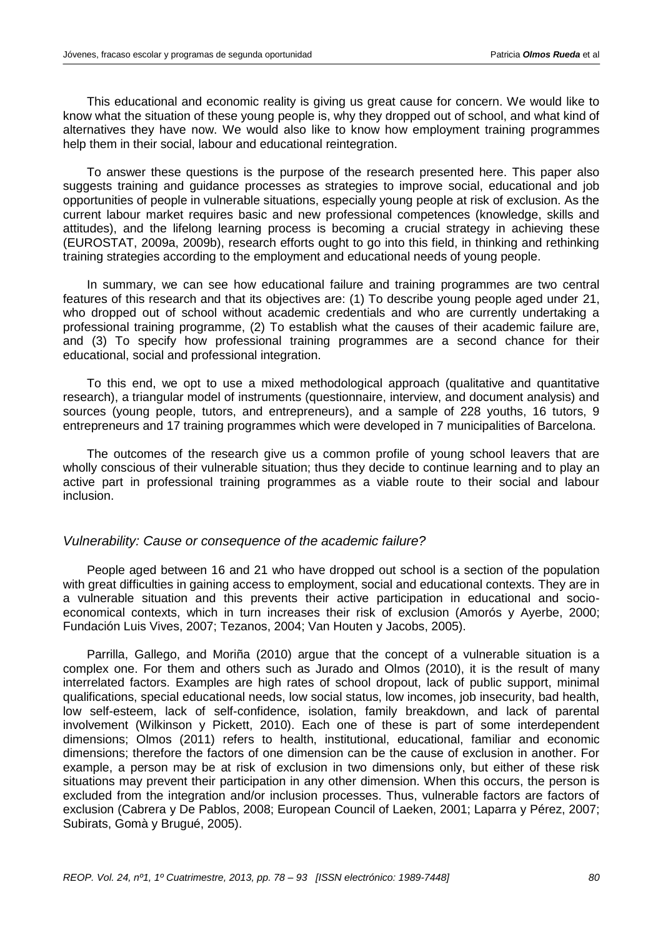This educational and economic reality is giving us great cause for concern. We would like to know what the situation of these young people is, why they dropped out of school, and what kind of alternatives they have now. We would also like to know how employment training programmes help them in their social, labour and educational reintegration.

To answer these questions is the purpose of the research presented here. This paper also suggests training and guidance processes as strategies to improve social, educational and job opportunities of people in vulnerable situations, especially young people at risk of exclusion. As the current labour market requires basic and new professional competences (knowledge, skills and attitudes), and the lifelong learning process is becoming a crucial strategy in achieving these (EUROSTAT, 2009a, 2009b), research efforts ought to go into this field, in thinking and rethinking training strategies according to the employment and educational needs of young people.

In summary, we can see how educational failure and training programmes are two central features of this research and that its objectives are: (1) To describe young people aged under 21, who dropped out of school without academic credentials and who are currently undertaking a professional training programme, (2) To establish what the causes of their academic failure are, and (3) To specify how professional training programmes are a second chance for their educational, social and professional integration.

To this end, we opt to use a mixed methodological approach (qualitative and quantitative research), a triangular model of instruments (questionnaire, interview, and document analysis) and sources (young people, tutors, and entrepreneurs), and a sample of 228 youths, 16 tutors, 9 entrepreneurs and 17 training programmes which were developed in 7 municipalities of Barcelona.

The outcomes of the research give us a common profile of young school leavers that are wholly conscious of their vulnerable situation; thus they decide to continue learning and to play an active part in professional training programmes as a viable route to their social and labour inclusion.

### *Vulnerability: Cause or consequence of the academic failure?*

People aged between 16 and 21 who have dropped out school is a section of the population with great difficulties in gaining access to employment, social and educational contexts. They are in a vulnerable situation and this prevents their active participation in educational and socioeconomical contexts, which in turn increases their risk of exclusion (Amorós y Ayerbe, 2000; Fundación Luis Vives, 2007; Tezanos, 2004; Van Houten y Jacobs, 2005).

Parrilla, Gallego, and Moriña (2010) argue that the concept of a vulnerable situation is a complex one. For them and others such as Jurado and Olmos (2010), it is the result of many interrelated factors. Examples are high rates of school dropout, lack of public support, minimal qualifications, special educational needs, low social status, low incomes, job insecurity, bad health, low self-esteem, lack of self-confidence, isolation, family breakdown, and lack of parental involvement (Wilkinson y Pickett, 2010). Each one of these is part of some interdependent dimensions; Olmos (2011) refers to health, institutional, educational, familiar and economic dimensions; therefore the factors of one dimension can be the cause of exclusion in another. For example, a person may be at risk of exclusion in two dimensions only, but either of these risk situations may prevent their participation in any other dimension. When this occurs, the person is excluded from the integration and/or inclusion processes. Thus, vulnerable factors are factors of exclusion (Cabrera y De Pablos, 2008; European Council of Laeken, 2001; Laparra y Pérez, 2007; Subirats, Gomà y Brugué, 2005).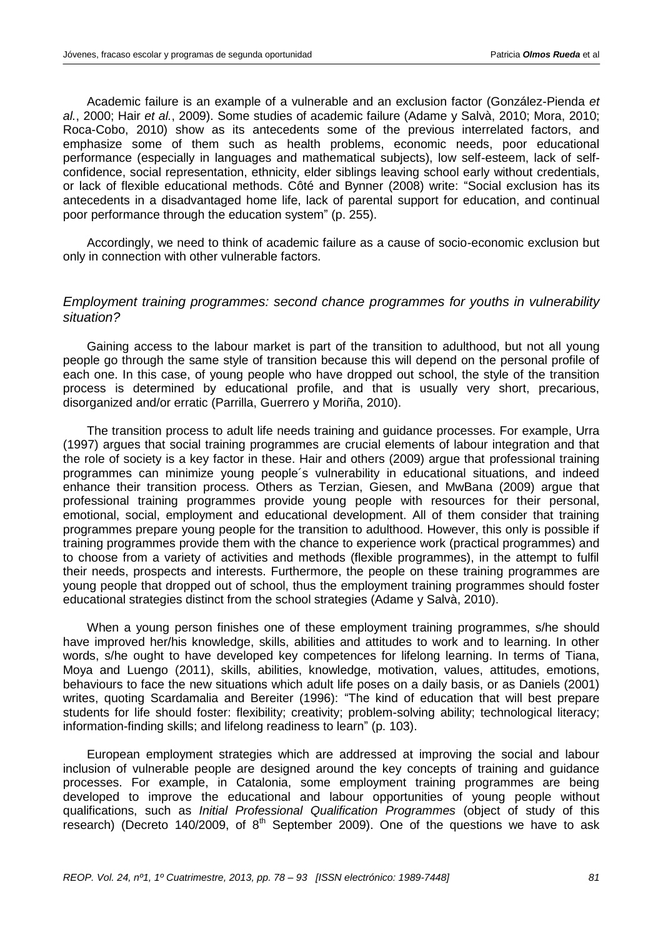Academic failure is an example of a vulnerable and an exclusion factor (González-Pienda *et al.*, 2000; Hair *et al.*, 2009). Some studies of academic failure (Adame y Salvà, 2010; Mora, 2010; Roca-Cobo, 2010) show as its antecedents some of the previous interrelated factors, and emphasize some of them such as health problems, economic needs, poor educational performance (especially in languages and mathematical subjects), low self-esteem, lack of selfconfidence, social representation, ethnicity, elder siblings leaving school early without credentials, or lack of flexible educational methods. Côté and Bynner (2008) write: "Social exclusion has its antecedents in a disadvantaged home life, lack of parental support for education, and continual poor performance through the education system" (p. 255).

Accordingly, we need to think of academic failure as a cause of socio-economic exclusion but only in connection with other vulnerable factors.

### *Employment training programmes: second chance programmes for youths in vulnerability situation?*

Gaining access to the labour market is part of the transition to adulthood, but not all young people go through the same style of transition because this will depend on the personal profile of each one. In this case, of young people who have dropped out school, the style of the transition process is determined by educational profile, and that is usually very short, precarious, disorganized and/or erratic (Parrilla, Guerrero y Moriña, 2010).

The transition process to adult life needs training and guidance processes. For example, Urra (1997) argues that social training programmes are crucial elements of labour integration and that the role of society is a key factor in these. Hair and others (2009) argue that professional training programmes can minimize young people´s vulnerability in educational situations, and indeed enhance their transition process. Others as Terzian, Giesen, and MwBana (2009) argue that professional training programmes provide young people with resources for their personal, emotional, social, employment and educational development. All of them consider that training programmes prepare young people for the transition to adulthood. However, this only is possible if training programmes provide them with the chance to experience work (practical programmes) and to choose from a variety of activities and methods (flexible programmes), in the attempt to fulfil their needs, prospects and interests. Furthermore, the people on these training programmes are young people that dropped out of school, thus the employment training programmes should foster educational strategies distinct from the school strategies (Adame y Salvà, 2010).

When a young person finishes one of these employment training programmes, s/he should have improved her/his knowledge, skills, abilities and attitudes to work and to learning. In other words, s/he ought to have developed key competences for lifelong learning. In terms of Tiana, Moya and Luengo (2011), skills, abilities, knowledge, motivation, values, attitudes, emotions, behaviours to face the new situations which adult life poses on a daily basis, or as Daniels (2001) writes, quoting Scardamalia and Bereiter (1996): "The kind of education that will best prepare students for life should foster: flexibility; creativity; problem-solving ability; technological literacy; information-finding skills; and lifelong readiness to learn" (p. 103).

European employment strategies which are addressed at improving the social and labour inclusion of vulnerable people are designed around the key concepts of training and guidance processes. For example, in Catalonia, some employment training programmes are being developed to improve the educational and labour opportunities of young people without qualifications, such as *Initial Professional Qualification Programmes* (object of study of this research) (Decreto 140/2009, of  $8<sup>th</sup>$  September 2009). One of the questions we have to ask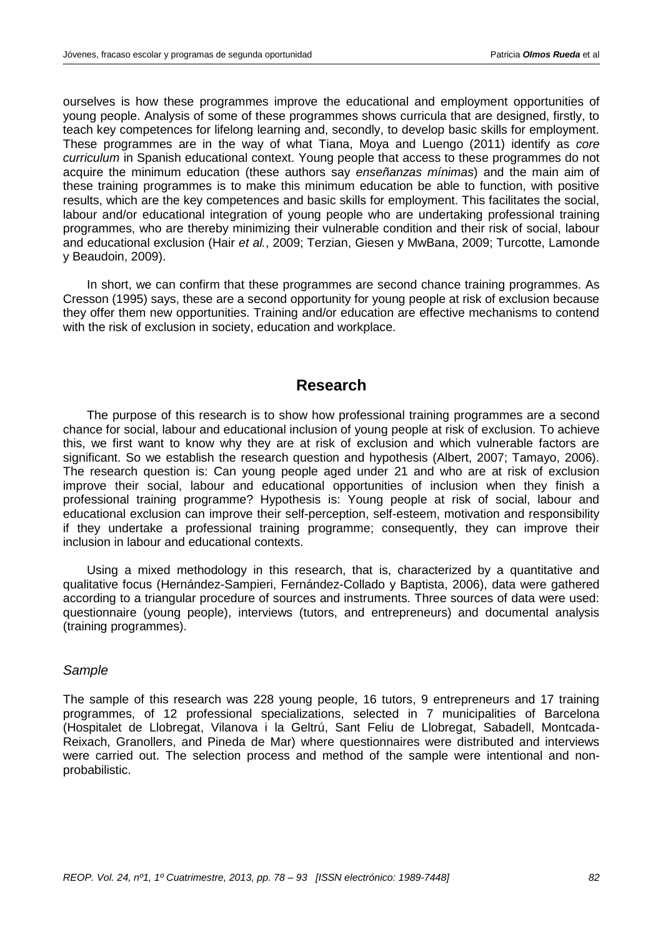ourselves is how these programmes improve the educational and employment opportunities of young people. Analysis of some of these programmes shows curricula that are designed, firstly, to teach key competences for lifelong learning and, secondly, to develop basic skills for employment. These programmes are in the way of what Tiana, Moya and Luengo (2011) identify as *core curriculum* in Spanish educational context. Young people that access to these programmes do not acquire the minimum education (these authors say *enseñanzas mínimas*) and the main aim of these training programmes is to make this minimum education be able to function, with positive results, which are the key competences and basic skills for employment. This facilitates the social, labour and/or educational integration of young people who are undertaking professional training programmes, who are thereby minimizing their vulnerable condition and their risk of social, labour and educational exclusion (Hair *et al.*, 2009; Terzian, Giesen y MwBana, 2009; Turcotte, Lamonde y Beaudoin, 2009).

In short, we can confirm that these programmes are second chance training programmes. As Cresson (1995) says, these are a second opportunity for young people at risk of exclusion because they offer them new opportunities. Training and/or education are effective mechanisms to contend with the risk of exclusion in society, education and workplace.

# **Research**

The purpose of this research is to show how professional training programmes are a second chance for social, labour and educational inclusion of young people at risk of exclusion. To achieve this, we first want to know why they are at risk of exclusion and which vulnerable factors are significant. So we establish the research question and hypothesis (Albert, 2007; Tamayo, 2006). The research question is: Can young people aged under 21 and who are at risk of exclusion improve their social, labour and educational opportunities of inclusion when they finish a professional training programme? Hypothesis is: Young people at risk of social, labour and educational exclusion can improve their self-perception, self-esteem, motivation and responsibility if they undertake a professional training programme; consequently, they can improve their inclusion in labour and educational contexts.

Using a mixed methodology in this research, that is, characterized by a quantitative and qualitative focus (Hernández-Sampieri, Fernández-Collado y Baptista, 2006), data were gathered according to a triangular procedure of sources and instruments. Three sources of data were used: questionnaire (young people), interviews (tutors, and entrepreneurs) and documental analysis (training programmes).

### *Sample*

The sample of this research was 228 young people, 16 tutors, 9 entrepreneurs and 17 training programmes, of 12 professional specializations, selected in 7 municipalities of Barcelona (Hospitalet de Llobregat, Vilanova i la Geltrú, Sant Feliu de Llobregat, Sabadell, Montcada-Reixach, Granollers, and Pineda de Mar) where questionnaires were distributed and interviews were carried out. The selection process and method of the sample were intentional and nonprobabilistic.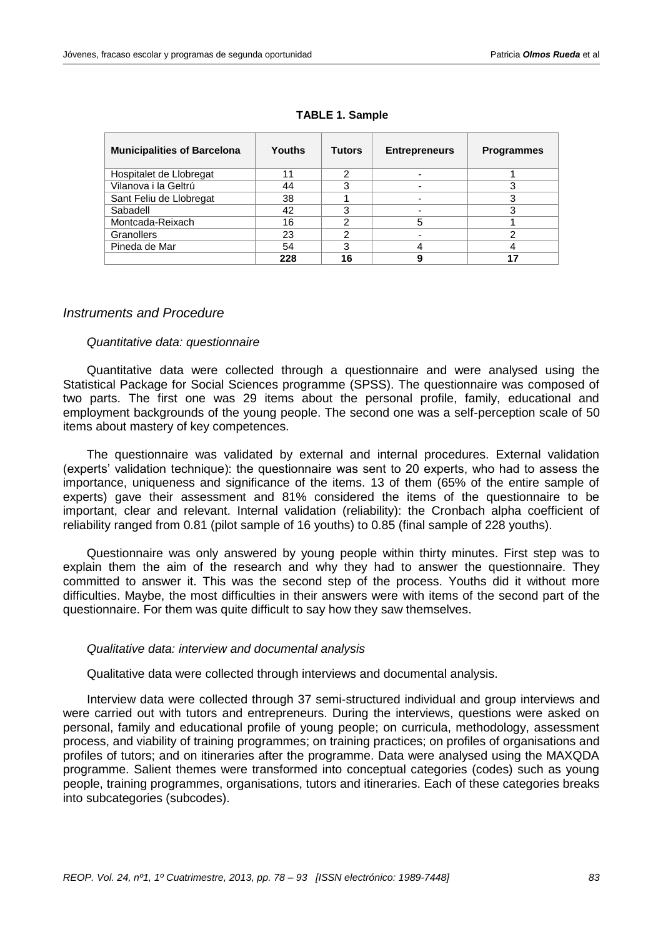| <b>Municipalities of Barcelona</b> | Youths | <b>Tutors</b> | <b>Entrepreneurs</b> | <b>Programmes</b> |
|------------------------------------|--------|---------------|----------------------|-------------------|
| Hospitalet de Llobregat            | 11     | ◠             |                      |                   |
| Vilanova i la Geltrú               | 44     |               |                      |                   |
| Sant Feliu de Llobregat            | 38     |               |                      |                   |
| Sabadell                           | 42     |               |                      |                   |
| Montcada-Reixach                   | 16     |               |                      |                   |
| <b>Granollers</b>                  | 23     |               |                      |                   |
| Pineda de Mar                      | 54     |               |                      |                   |
|                                    | 228    | 16            |                      |                   |

#### **TABLE 1. Sample**

### *Instruments and Procedure*

#### *Quantitative data: questionnaire*

Quantitative data were collected through a questionnaire and were analysed using the Statistical Package for Social Sciences programme (SPSS). The questionnaire was composed of two parts. The first one was 29 items about the personal profile, family, educational and employment backgrounds of the young people. The second one was a self-perception scale of 50 items about mastery of key competences.

The questionnaire was validated by external and internal procedures. External validation (experts' validation technique): the questionnaire was sent to 20 experts, who had to assess the importance, uniqueness and significance of the items. 13 of them (65% of the entire sample of experts) gave their assessment and 81% considered the items of the questionnaire to be important, clear and relevant. Internal validation (reliability): the Cronbach alpha coefficient of reliability ranged from 0.81 (pilot sample of 16 youths) to 0.85 (final sample of 228 youths).

Questionnaire was only answered by young people within thirty minutes. First step was to explain them the aim of the research and why they had to answer the questionnaire. They committed to answer it. This was the second step of the process. Youths did it without more difficulties. Maybe, the most difficulties in their answers were with items of the second part of the questionnaire. For them was quite difficult to say how they saw themselves.

#### *Qualitative data: interview and documental analysis*

Qualitative data were collected through interviews and documental analysis.

Interview data were collected through 37 semi-structured individual and group interviews and were carried out with tutors and entrepreneurs. During the interviews, questions were asked on personal, family and educational profile of young people; on curricula, methodology, assessment process, and viability of training programmes; on training practices; on profiles of organisations and profiles of tutors; and on itineraries after the programme. Data were analysed using the MAXQDA programme. Salient themes were transformed into conceptual categories (codes) such as young people, training programmes, organisations, tutors and itineraries. Each of these categories breaks into subcategories (subcodes).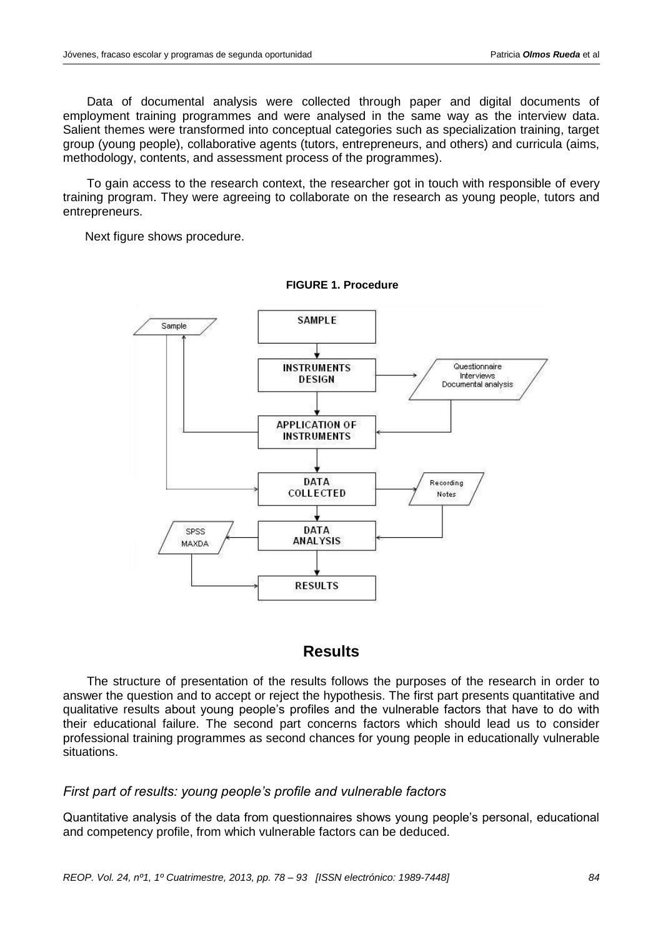Data of documental analysis were collected through paper and digital documents of employment training programmes and were analysed in the same way as the interview data. Salient themes were transformed into conceptual categories such as specialization training, target group (young people), collaborative agents (tutors, entrepreneurs, and others) and curricula (aims, methodology, contents, and assessment process of the programmes).

To gain access to the research context, the researcher got in touch with responsible of every training program. They were agreeing to collaborate on the research as young people, tutors and entrepreneurs.

Next figure shows procedure.



**FIGURE 1. Procedure**

# **Results**

The structure of presentation of the results follows the purposes of the research in order to answer the question and to accept or reject the hypothesis. The first part presents quantitative and qualitative results about young people's profiles and the vulnerable factors that have to do with their educational failure. The second part concerns factors which should lead us to consider professional training programmes as second chances for young people in educationally vulnerable situations.

### *First part of results: young people's profile and vulnerable factors*

Quantitative analysis of the data from questionnaires shows young people's personal, educational and competency profile, from which vulnerable factors can be deduced.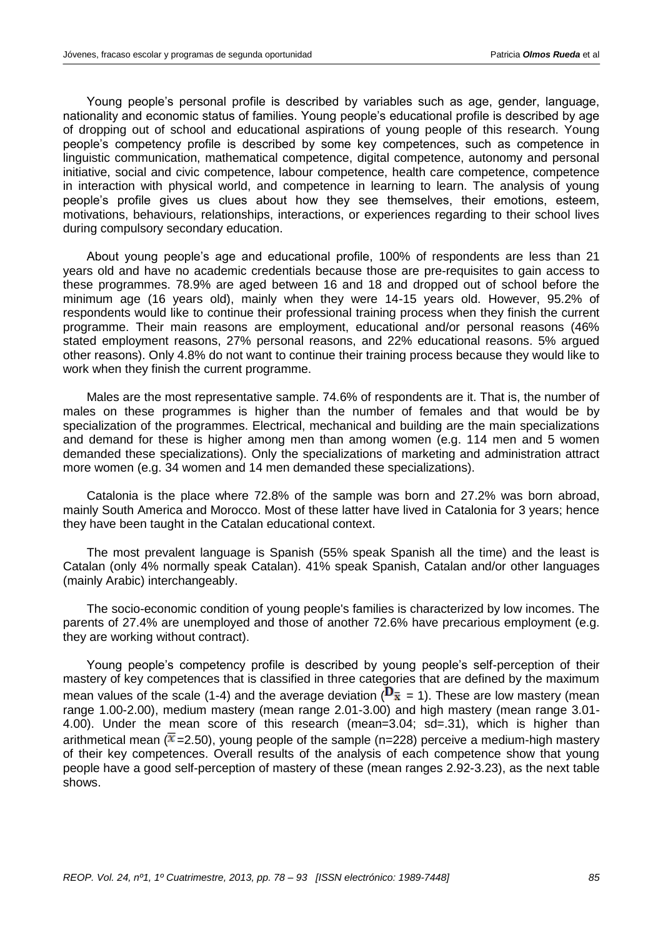Young people's personal profile is described by variables such as age, gender, language, nationality and economic status of families. Young people's educational profile is described by age of dropping out of school and educational aspirations of young people of this research. Young people's competency profile is described by some key competences, such as competence in linguistic communication, mathematical competence, digital competence, autonomy and personal initiative, social and civic competence, labour competence, health care competence, competence in interaction with physical world, and competence in learning to learn. The analysis of young people's profile gives us clues about how they see themselves, their emotions, esteem, motivations, behaviours, relationships, interactions, or experiences regarding to their school lives during compulsory secondary education.

About young people's age and educational profile, 100% of respondents are less than 21 years old and have no academic credentials because those are pre-requisites to gain access to these programmes. 78.9% are aged between 16 and 18 and dropped out of school before the minimum age (16 years old), mainly when they were 14-15 years old. However, 95.2% of respondents would like to continue their professional training process when they finish the current programme. Their main reasons are employment, educational and/or personal reasons (46% stated employment reasons, 27% personal reasons, and 22% educational reasons. 5% argued other reasons). Only 4.8% do not want to continue their training process because they would like to work when they finish the current programme.

Males are the most representative sample. 74.6% of respondents are it. That is, the number of males on these programmes is higher than the number of females and that would be by specialization of the programmes. Electrical, mechanical and building are the main specializations and demand for these is higher among men than among women (e.g. 114 men and 5 women demanded these specializations). Only the specializations of marketing and administration attract more women (e.g. 34 women and 14 men demanded these specializations).

Catalonia is the place where 72.8% of the sample was born and 27.2% was born abroad, mainly South America and Morocco. Most of these latter have lived in Catalonia for 3 years; hence they have been taught in the Catalan educational context.

The most prevalent language is Spanish (55% speak Spanish all the time) and the least is Catalan (only 4% normally speak Catalan). 41% speak Spanish, Catalan and/or other languages (mainly Arabic) interchangeably.

The socio-economic condition of young people's families is characterized by low incomes. The parents of 27.4% are unemployed and those of another 72.6% have precarious employment (e.g. they are working without contract).

Young people's competency profile is described by young people's self-perception of their mastery of key competences that is classified in three categories that are defined by the maximum mean values of the scale (1-4) and the average deviation ( $\overline{D}_{\overline{x}} = 1$ ). These are low mastery (mean range 1.00-2.00), medium mastery (mean range 2.01-3.00) and high mastery (mean range 3.01- 4.00). Under the mean score of this research (mean=3.04; sd=.31), which is higher than arithmetical mean ( $\overline{x}$  = 2.50), young people of the sample (n=228) perceive a medium-high mastery of their key competences. Overall results of the analysis of each competence show that young people have a good self-perception of mastery of these (mean ranges 2.92-3.23), as the next table shows.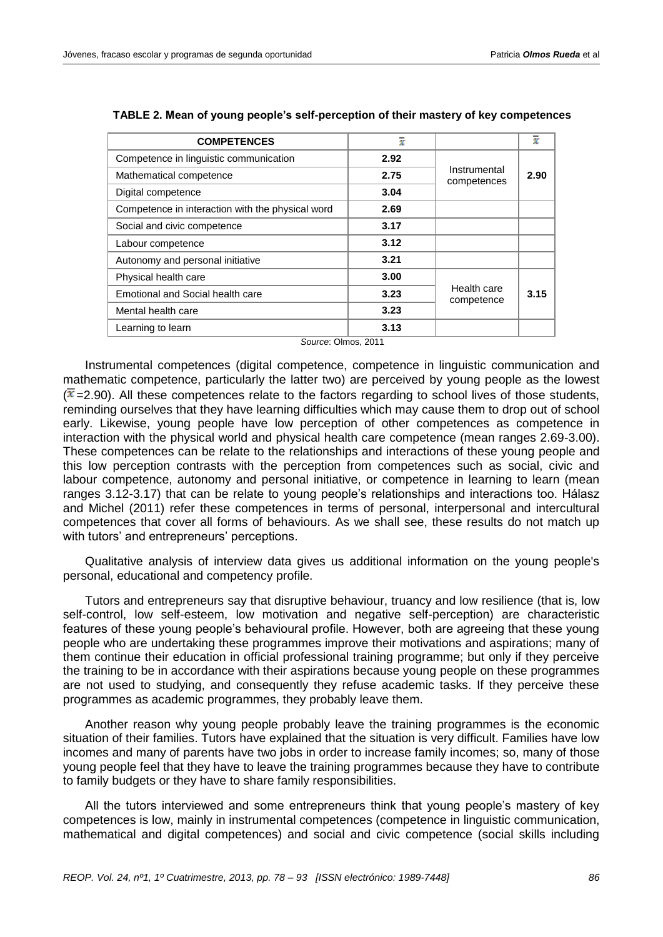| <b>COMPETENCES</b>                               | Ÿ    |                             | r    |
|--------------------------------------------------|------|-----------------------------|------|
| Competence in linguistic communication           | 2.92 |                             | 2.90 |
| Mathematical competence                          | 2.75 | Instrumental<br>competences |      |
| Digital competence                               | 3.04 |                             |      |
| Competence in interaction with the physical word | 2.69 |                             |      |
| Social and civic competence                      | 3.17 |                             |      |
| Labour competence                                | 3.12 |                             |      |
| Autonomy and personal initiative                 | 3.21 |                             |      |
| Physical health care                             | 3.00 |                             | 3.15 |
| Emotional and Social health care                 | 3.23 | Health care<br>competence   |      |
| Mental health care                               | 3.23 |                             |      |
| Learning to learn                                | 3.13 |                             |      |

#### **TABLE 2. Mean of young people's self-perception of their mastery of key competences**

*Source*: Olmos, 2011

Instrumental competences (digital competence, competence in linguistic communication and mathematic competence, particularly the latter two) are perceived by young people as the lowest  $(\overline{x}$  =2.90). All these competences relate to the factors regarding to school lives of those students, reminding ourselves that they have learning difficulties which may cause them to drop out of school early. Likewise, young people have low perception of other competences as competence in interaction with the physical world and physical health care competence (mean ranges 2.69-3.00). These competences can be relate to the relationships and interactions of these young people and this low perception contrasts with the perception from competences such as social, civic and labour competence, autonomy and personal initiative, or competence in learning to learn (mean ranges 3.12-3.17) that can be relate to young people's relationships and interactions too. Hálasz and Michel (2011) refer these competences in terms of personal, interpersonal and intercultural competences that cover all forms of behaviours. As we shall see, these results do not match up with tutors' and entrepreneurs' perceptions.

Qualitative analysis of interview data gives us additional information on the young people's personal, educational and competency profile.

Tutors and entrepreneurs say that disruptive behaviour, truancy and low resilience (that is, low self-control, low self-esteem, low motivation and negative self-perception) are characteristic features of these young people's behavioural profile. However, both are agreeing that these young people who are undertaking these programmes improve their motivations and aspirations; many of them continue their education in official professional training programme; but only if they perceive the training to be in accordance with their aspirations because young people on these programmes are not used to studying, and consequently they refuse academic tasks. If they perceive these programmes as academic programmes, they probably leave them.

Another reason why young people probably leave the training programmes is the economic situation of their families. Tutors have explained that the situation is very difficult. Families have low incomes and many of parents have two jobs in order to increase family incomes; so, many of those young people feel that they have to leave the training programmes because they have to contribute to family budgets or they have to share family responsibilities.

All the tutors interviewed and some entrepreneurs think that young people's mastery of key competences is low, mainly in instrumental competences (competence in linguistic communication, mathematical and digital competences) and social and civic competence (social skills including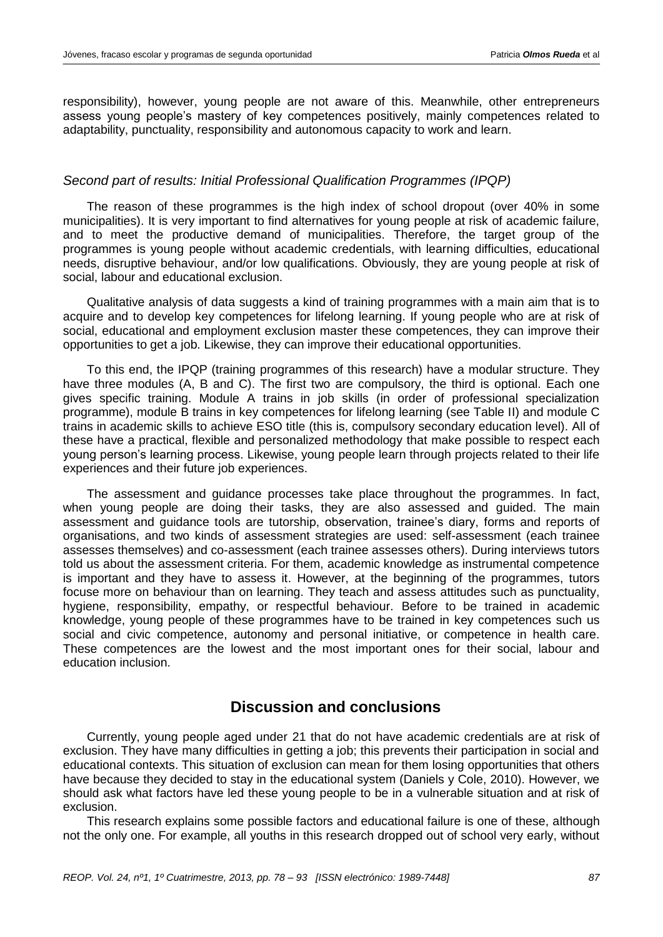responsibility), however, young people are not aware of this. Meanwhile, other entrepreneurs assess young people's mastery of key competences positively, mainly competences related to adaptability, punctuality, responsibility and autonomous capacity to work and learn.

### *Second part of results: Initial Professional Qualification Programmes (IPQP)*

The reason of these programmes is the high index of school dropout (over 40% in some municipalities). It is very important to find alternatives for young people at risk of academic failure, and to meet the productive demand of municipalities. Therefore, the target group of the programmes is young people without academic credentials, with learning difficulties, educational needs, disruptive behaviour, and/or low qualifications. Obviously, they are young people at risk of social, labour and educational exclusion.

Qualitative analysis of data suggests a kind of training programmes with a main aim that is to acquire and to develop key competences for lifelong learning. If young people who are at risk of social, educational and employment exclusion master these competences, they can improve their opportunities to get a job. Likewise, they can improve their educational opportunities.

To this end, the IPQP (training programmes of this research) have a modular structure. They have three modules (A, B and C). The first two are compulsory, the third is optional. Each one gives specific training. Module A trains in job skills (in order of professional specialization programme), module B trains in key competences for lifelong learning (see Table II) and module C trains in academic skills to achieve ESO title (this is, compulsory secondary education level). All of these have a practical, flexible and personalized methodology that make possible to respect each young person's learning process. Likewise, young people learn through projects related to their life experiences and their future job experiences.

The assessment and guidance processes take place throughout the programmes. In fact, when young people are doing their tasks, they are also assessed and guided. The main assessment and guidance tools are tutorship, observation, trainee's diary, forms and reports of organisations, and two kinds of assessment strategies are used: self-assessment (each trainee assesses themselves) and co-assessment (each trainee assesses others). During interviews tutors told us about the assessment criteria. For them, academic knowledge as instrumental competence is important and they have to assess it. However, at the beginning of the programmes, tutors focuse more on behaviour than on learning. They teach and assess attitudes such as punctuality, hygiene, responsibility, empathy, or respectful behaviour. Before to be trained in academic knowledge, young people of these programmes have to be trained in key competences such us social and civic competence, autonomy and personal initiative, or competence in health care. These competences are the lowest and the most important ones for their social, labour and education inclusion.

# **Discussion and conclusions**

Currently, young people aged under 21 that do not have academic credentials are at risk of exclusion. They have many difficulties in getting a job; this prevents their participation in social and educational contexts. This situation of exclusion can mean for them losing opportunities that others have because they decided to stay in the educational system (Daniels y Cole, 2010). However, we should ask what factors have led these young people to be in a vulnerable situation and at risk of exclusion.

This research explains some possible factors and educational failure is one of these, although not the only one. For example, all youths in this research dropped out of school very early, without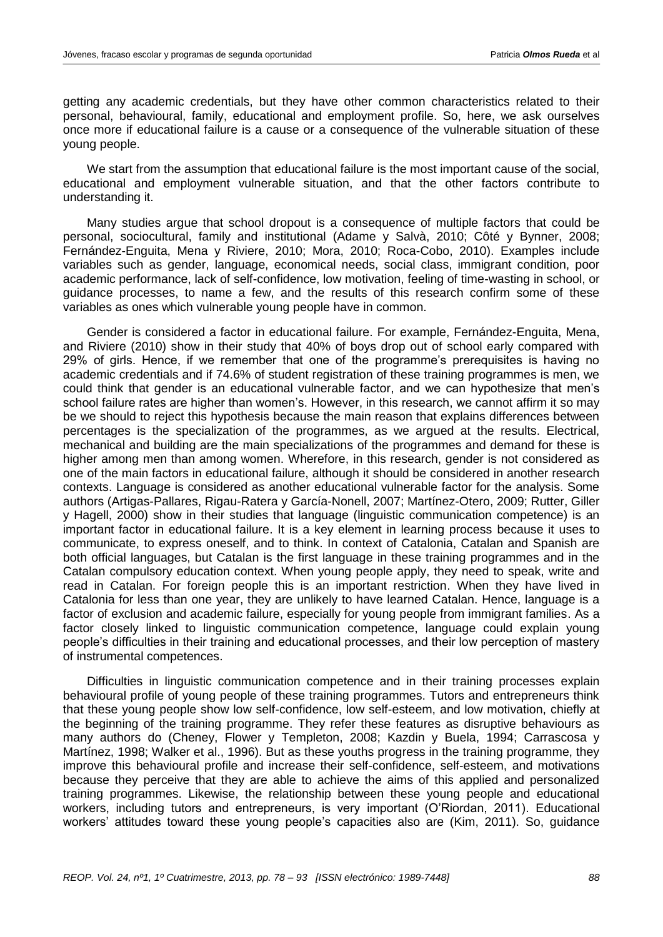getting any academic credentials, but they have other common characteristics related to their personal, behavioural, family, educational and employment profile. So, here, we ask ourselves once more if educational failure is a cause or a consequence of the vulnerable situation of these young people.

We start from the assumption that educational failure is the most important cause of the social, educational and employment vulnerable situation, and that the other factors contribute to understanding it.

Many studies argue that school dropout is a consequence of multiple factors that could be personal, sociocultural, family and institutional (Adame y Salvà, 2010; Côté y Bynner, 2008; Fernández-Enguita, Mena y Riviere, 2010; Mora, 2010; Roca-Cobo, 2010). Examples include variables such as gender, language, economical needs, social class, immigrant condition, poor academic performance, lack of self-confidence, low motivation, feeling of time-wasting in school, or guidance processes, to name a few, and the results of this research confirm some of these variables as ones which vulnerable young people have in common.

Gender is considered a factor in educational failure. For example, Fernández-Enguita, Mena, and Riviere (2010) show in their study that 40% of boys drop out of school early compared with 29% of girls. Hence, if we remember that one of the programme's prerequisites is having no academic credentials and if 74.6% of student registration of these training programmes is men, we could think that gender is an educational vulnerable factor, and we can hypothesize that men's school failure rates are higher than women's. However, in this research, we cannot affirm it so may be we should to reject this hypothesis because the main reason that explains differences between percentages is the specialization of the programmes, as we argued at the results. Electrical, mechanical and building are the main specializations of the programmes and demand for these is higher among men than among women. Wherefore, in this research, gender is not considered as one of the main factors in educational failure, although it should be considered in another research contexts. Language is considered as another educational vulnerable factor for the analysis. Some authors (Artigas-Pallares, Rigau-Ratera y García-Nonell, 2007; Martínez-Otero, 2009; Rutter, Giller y Hagell, 2000) show in their studies that language (linguistic communication competence) is an important factor in educational failure. It is a key element in learning process because it uses to communicate, to express oneself, and to think. In context of Catalonia, Catalan and Spanish are both official languages, but Catalan is the first language in these training programmes and in the Catalan compulsory education context. When young people apply, they need to speak, write and read in Catalan. For foreign people this is an important restriction. When they have lived in Catalonia for less than one year, they are unlikely to have learned Catalan. Hence, language is a factor of exclusion and academic failure, especially for young people from immigrant families. As a factor closely linked to linguistic communication competence, language could explain young people's difficulties in their training and educational processes, and their low perception of mastery of instrumental competences.

Difficulties in linguistic communication competence and in their training processes explain behavioural profile of young people of these training programmes. Tutors and entrepreneurs think that these young people show low self-confidence, low self-esteem, and low motivation, chiefly at the beginning of the training programme. They refer these features as disruptive behaviours as many authors do (Cheney, Flower y Templeton, 2008; Kazdin y Buela, 1994; Carrascosa y Martínez, 1998; Walker et al., 1996). But as these youths progress in the training programme, they improve this behavioural profile and increase their self-confidence, self-esteem, and motivations because they perceive that they are able to achieve the aims of this applied and personalized training programmes. Likewise, the relationship between these young people and educational workers, including tutors and entrepreneurs, is very important (O'Riordan, 2011). Educational workers' attitudes toward these young people's capacities also are (Kim, 2011). So, guidance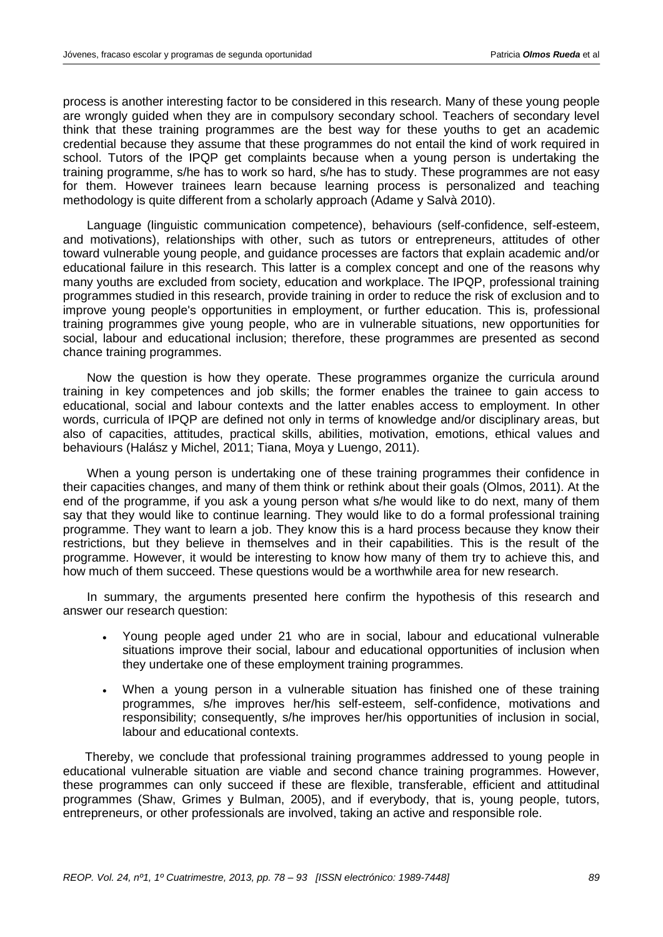process is another interesting factor to be considered in this research. Many of these young people are wrongly guided when they are in compulsory secondary school. Teachers of secondary level think that these training programmes are the best way for these youths to get an academic credential because they assume that these programmes do not entail the kind of work required in school. Tutors of the IPQP get complaints because when a young person is undertaking the training programme, s/he has to work so hard, s/he has to study. These programmes are not easy for them. However trainees learn because learning process is personalized and teaching methodology is quite different from a scholarly approach (Adame y Salvà 2010).

Language (linguistic communication competence), behaviours (self-confidence, self-esteem, and motivations), relationships with other, such as tutors or entrepreneurs, attitudes of other toward vulnerable young people, and guidance processes are factors that explain academic and/or educational failure in this research. This latter is a complex concept and one of the reasons why many youths are excluded from society, education and workplace. The IPQP, professional training programmes studied in this research, provide training in order to reduce the risk of exclusion and to improve young people's opportunities in employment, or further education. This is, professional training programmes give young people, who are in vulnerable situations, new opportunities for social, labour and educational inclusion; therefore, these programmes are presented as second chance training programmes.

Now the question is how they operate. These programmes organize the curricula around training in key competences and job skills; the former enables the trainee to gain access to educational, social and labour contexts and the latter enables access to employment. In other words, curricula of IPQP are defined not only in terms of knowledge and/or disciplinary areas, but also of capacities, attitudes, practical skills, abilities, motivation, emotions, ethical values and behaviours (Halász y Michel, 2011; Tiana, Moya y Luengo, 2011).

When a young person is undertaking one of these training programmes their confidence in their capacities changes, and many of them think or rethink about their goals (Olmos, 2011). At the end of the programme, if you ask a young person what s/he would like to do next, many of them say that they would like to continue learning. They would like to do a formal professional training programme. They want to learn a job. They know this is a hard process because they know their restrictions, but they believe in themselves and in their capabilities. This is the result of the programme. However, it would be interesting to know how many of them try to achieve this, and how much of them succeed. These questions would be a worthwhile area for new research.

In summary, the arguments presented here confirm the hypothesis of this research and answer our research question:

- Young people aged under 21 who are in social, labour and educational vulnerable situations improve their social, labour and educational opportunities of inclusion when they undertake one of these employment training programmes.
- When a young person in a vulnerable situation has finished one of these training programmes, s/he improves her/his self-esteem, self-confidence, motivations and responsibility; consequently, s/he improves her/his opportunities of inclusion in social, labour and educational contexts.

Thereby, we conclude that professional training programmes addressed to young people in educational vulnerable situation are viable and second chance training programmes. However, these programmes can only succeed if these are flexible, transferable, efficient and attitudinal programmes (Shaw, Grimes y Bulman, 2005), and if everybody, that is, young people, tutors, entrepreneurs, or other professionals are involved, taking an active and responsible role.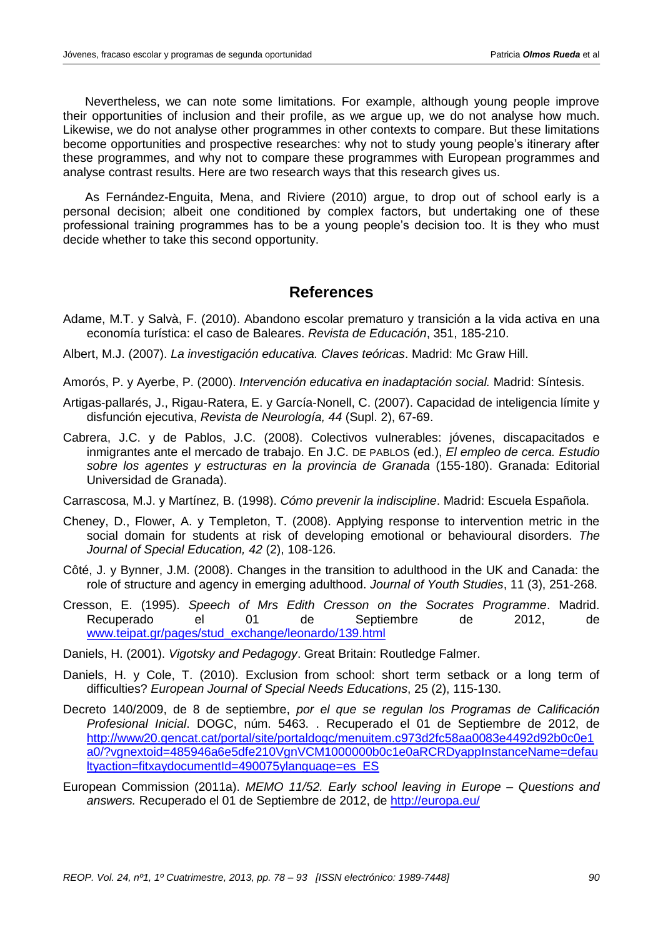Nevertheless, we can note some limitations. For example, although young people improve their opportunities of inclusion and their profile, as we argue up, we do not analyse how much. Likewise, we do not analyse other programmes in other contexts to compare. But these limitations become opportunities and prospective researches: why not to study young people's itinerary after these programmes, and why not to compare these programmes with European programmes and analyse contrast results. Here are two research ways that this research gives us.

As Fernández-Enguita, Mena, and Riviere (2010) argue, to drop out of school early is a personal decision; albeit one conditioned by complex factors, but undertaking one of these professional training programmes has to be a young people's decision too. It is they who must decide whether to take this second opportunity.

## **References**

- Adame, M.T. y Salvà, F. (2010). Abandono escolar prematuro y transición a la vida activa en una economía turística: el caso de Baleares. *Revista de Educación*, 351, 185-210.
- Albert, M.J. (2007). *La investigación educativa. Claves teóricas*. Madrid: Mc Graw Hill.
- Amorós, P. y Ayerbe, P. (2000). *Intervención educativa en inadaptación social.* Madrid: Síntesis.
- Artigas-pallarés, J., Rigau-Ratera, E. y García-Nonell, C. (2007). Capacidad de inteligencia límite y disfunción ejecutiva, *Revista de Neurología, 44* (Supl. 2), 67-69.
- Cabrera, J.C. y de Pablos, J.C. (2008). Colectivos vulnerables: jóvenes, discapacitados e inmigrantes ante el mercado de trabajo. En J.C. DE PABLOS (ed.), *El empleo de cerca. Estudio sobre los agentes y estructuras en la provincia de Granada* (155-180). Granada: Editorial Universidad de Granada).
- Carrascosa, M.J. y Martínez, B. (1998). *Cómo prevenir la indiscipline*. Madrid: Escuela Española.
- Cheney, D., Flower, A. y Templeton, T. (2008). Applying response to intervention metric in the social domain for students at risk of developing emotional or behavioural disorders. *The Journal of Special Education, 42* (2), 108-126.
- Côté, J. y Bynner, J.M. (2008). Changes in the transition to adulthood in the UK and Canada: the role of structure and agency in emerging adulthood. *Journal of Youth Studies*, 11 (3), 251-268.
- Cresson, E. (1995). *Speech of Mrs Edith Cresson on the Socrates Programme*. Madrid. Recuperado el 01 de Septiembre de 2012, de [www.teipat.gr/pages/stud\\_exchange/leonardo/139.html](http://www.teipat.gr/pages/stud_exchange/leonardo/139.html)
- Daniels, H. (2001). *Vigotsky and Pedagogy*. Great Britain: Routledge Falmer.
- Daniels, H. y Cole, T. (2010). Exclusion from school: short term setback or a long term of difficulties? *European Journal of Special Needs Educations*, 25 (2), 115-130.
- Decreto 140/2009, de 8 de septiembre, *por el que se regulan los Programas de Calificación Profesional Inicial*. DOGC, núm. 5463. . Recuperado el 01 de Septiembre de 2012, de [http://www20.gencat.cat/portal/site/portaldogc/menuitem.c973d2fc58aa0083e4492d92b0c0e1](http://www20.gencat.cat/portal/site/portaldogc/menuitem.c973d2fc58aa0083e4492d92b0c0e1a0/?vgnextoid=485946a6e5dfe210VgnVCM1000000b0c1e0aRCRDyappInstanceName=defaultyaction=fitxaydocumentId=490075ylanguage=es_ES) [a0/?vgnextoid=485946a6e5dfe210VgnVCM1000000b0c1e0aRCRDyappInstanceName=defau](http://www20.gencat.cat/portal/site/portaldogc/menuitem.c973d2fc58aa0083e4492d92b0c0e1a0/?vgnextoid=485946a6e5dfe210VgnVCM1000000b0c1e0aRCRDyappInstanceName=defaultyaction=fitxaydocumentId=490075ylanguage=es_ES) [ltyaction=fitxaydocumentId=490075ylanguage=es\\_ES](http://www20.gencat.cat/portal/site/portaldogc/menuitem.c973d2fc58aa0083e4492d92b0c0e1a0/?vgnextoid=485946a6e5dfe210VgnVCM1000000b0c1e0aRCRDyappInstanceName=defaultyaction=fitxaydocumentId=490075ylanguage=es_ES)
- European Commission (2011a). *MEMO 11/52. Early school leaving in Europe – Questions and answers.* Recuperado el 01 de Septiembre de 2012, de<http://europa.eu/>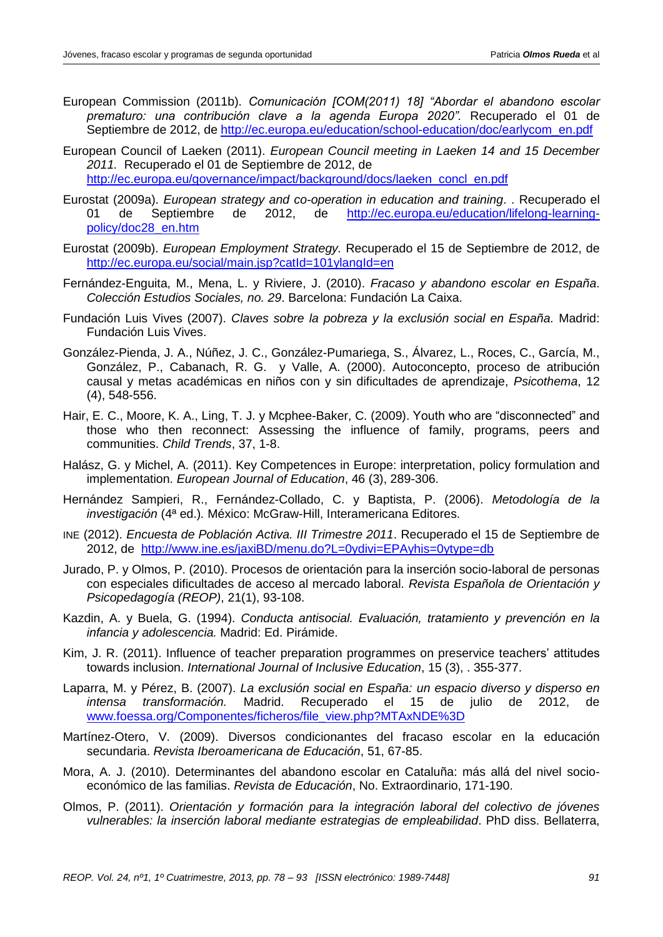- European Commission (2011b). *Comunicación [COM(2011) 18] "Abordar el abandono escolar prematuro: una contribución clave a la agenda Europa 2020".* Recuperado el 01 de Septiembre de 2012, de http://ec.europa.eu/education/school-education/doc/earlycom\_en.pdf
- European Council of Laeken (2011). *European Council meeting in Laeken 14 and 15 December 2011.* Recuperado el 01 de Septiembre de 2012, de [http://ec.europa.eu/governance/impact/background/docs/laeken\\_concl\\_en.pdf](http://ec.europa.eu/governance/impact/background/docs/laeken_concl_en.pdf)
- Eurostat (2009a). *European strategy and co-operation in education and training*. . Recuperado el 01 de Septiembre de 2012, de [http://ec.europa.eu/education/lifelong-learning](http://ec.europa.eu/education/lifelong-learning-policy/doc28_en.htm)[policy/doc28\\_en.htm](http://ec.europa.eu/education/lifelong-learning-policy/doc28_en.htm)
- Eurostat (2009b). *European Employment Strategy.* Recuperado el 15 de Septiembre de 2012, de <http://ec.europa.eu/social/main.jsp?catId=101ylangId=en>
- Fernández-Enguita, M., Mena, L. y Riviere, J. (2010). *Fracaso y abandono escolar en España*. *Colección Estudios Sociales, no. 29*. Barcelona: Fundación La Caixa.
- Fundación Luis Vives (2007). *Claves sobre la pobreza y la exclusión social en España.* Madrid: Fundación Luis Vives.
- González-Pienda, J. A., Núñez, J. C., González-Pumariega, S., Álvarez, L., Roces, C., García, M., González, P., Cabanach, R. G. y Valle, A. (2000). Autoconcepto, proceso de atribución causal y metas académicas en niños con y sin dificultades de aprendizaje, *Psicothema*, 12 (4), 548-556.
- Hair, E. C., Moore, K. A., Ling, T. J. y Mcphee-Baker, C. (2009). Youth who are "disconnected" and those who then reconnect: Assessing the influence of family, programs, peers and communities. *Child Trends*, 37, 1-8.
- Halász, G. y Michel, A. (2011). Key Competences in Europe: interpretation, policy formulation and implementation. *European Journal of Education*, 46 (3), 289-306.
- Hernández Sampieri, R., Fernández-Collado, C. y Baptista, P. (2006). *Metodología de la investigación* (4ª ed.)*.* México: McGraw-Hill, Interamericana Editores.
- INE (2012). *Encuesta de Población Activa. III Trimestre 2011*. Recuperado el 15 de Septiembre de 2012, de <http://www.ine.es/jaxiBD/menu.do?L=0ydivi=EPAyhis=0ytype=db>
- Jurado, P. y Olmos, P. (2010). Procesos de orientación para la inserción socio-laboral de personas con especiales dificultades de acceso al mercado laboral. *Revista Española de Orientación y Psicopedagogía (REOP)*, 21(1), 93-108.
- Kazdin, A. y Buela, G. (1994). *Conducta antisocial. Evaluación, tratamiento y prevención en la infancia y adolescencia.* Madrid: Ed. Pirámide.
- Kim, J. R. (2011). Influence of teacher preparation programmes on preservice teachers' attitudes towards inclusion. *International Journal of Inclusive Education*, 15 (3), . 355-377.
- Laparra, M. y Pérez, B. (2007). *La exclusión social en España: un espacio diverso y disperso en intensa transformación.* Madrid. Recuperado el 15 de julio de 2012, de [www.foessa.org/Componentes/ficheros/file\\_view.php?MTAxNDE%3D](http://www.foessa.org/Componentes/ficheros/file_view.php?MTAxNDE%3D)
- Martínez-Otero, V. (2009). Diversos condicionantes del fracaso escolar en la educación secundaria. *Revista Iberoamericana de Educación*, 51, 67-85.
- Mora, A. J. (2010). Determinantes del abandono escolar en Cataluña: más allá del nivel socioeconómico de las familias. *Revista de Educación*, No. Extraordinario, 171-190.
- Olmos, P. (2011). *Orientación y formación para la integración laboral del colectivo de jóvenes vulnerables: la inserción laboral mediante estrategias de empleabilidad*. PhD diss. Bellaterra,